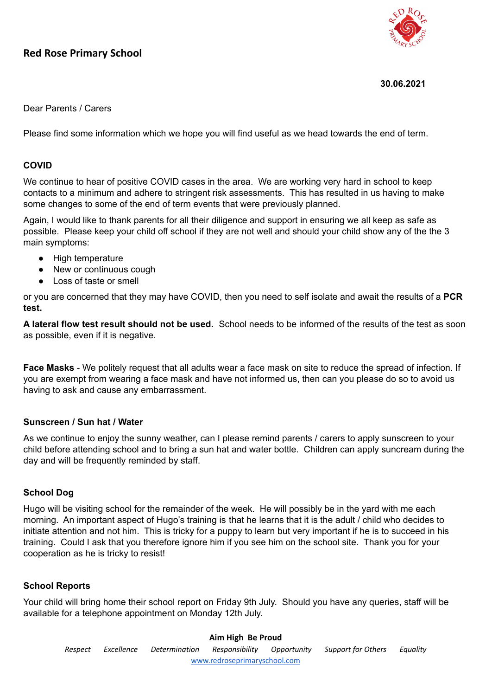# **Red Rose Primary School**



#### **30.06.2021**

## Dear Parents / Carers

Please find some information which we hope you will find useful as we head towards the end of term.

## **COVID**

We continue to hear of positive COVID cases in the area. We are working very hard in school to keep contacts to a minimum and adhere to stringent risk assessments. This has resulted in us having to make some changes to some of the end of term events that were previously planned.

Again, I would like to thank parents for all their diligence and support in ensuring we all keep as safe as possible. Please keep your child off school if they are not well and should your child show any of the the 3 main symptoms:

- High temperature
- New or continuous cough
- Loss of taste or smell

or you are concerned that they may have COVID, then you need to self isolate and await the results of a **PCR test.**

**A lateral flow test result should not be used.** School needs to be informed of the results of the test as soon as possible, even if it is negative.

**Face Masks** - We politely request that all adults wear a face mask on site to reduce the spread of infection. If you are exempt from wearing a face mask and have not informed us, then can you please do so to avoid us having to ask and cause any embarrassment.

#### **Sunscreen / Sun hat / Water**

As we continue to enjoy the sunny weather, can I please remind parents / carers to apply sunscreen to your child before attending school and to bring a sun hat and water bottle. Children can apply suncream during the day and will be frequently reminded by staff.

## **School Dog**

Hugo will be visiting school for the remainder of the week. He will possibly be in the yard with me each morning. An important aspect of Hugo's training is that he learns that it is the adult / child who decides to initiate attention and not him. This is tricky for a puppy to learn but very important if he is to succeed in his training. Could I ask that you therefore ignore him if you see him on the school site. Thank you for your cooperation as he is tricky to resist!

## **School Reports**

Your child will bring home their school report on Friday 9th July. Should you have any queries, staff will be available for a telephone appointment on Monday 12th July.

# **Aim High Be Proud** *Respect Excellence Determination Responsibility Opportunity Support for Others Equality* [www.redroseprimaryschool.com](http://www.redroseprimaryschool.com)